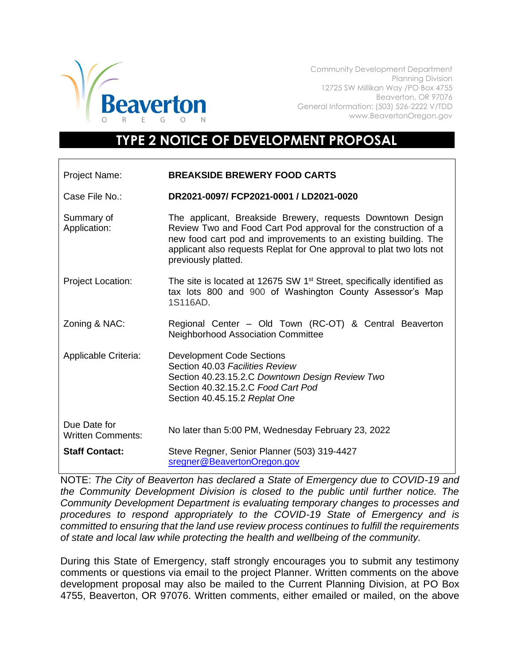

Community Development Department Planning Division 12725 SW Millikan Way /PO Box 4755 Beaverton, OR 97076 General Information: (503) 526-2222 V/TDD www.BeavertonOregon.gov

## **TYPE 2 NOTICE OF DEVELOPMENT PROPOSAL**

| Project Name:                            | <b>BREAKSIDE BREWERY FOOD CARTS</b>                                                                                                                                                                                                                                                             |
|------------------------------------------|-------------------------------------------------------------------------------------------------------------------------------------------------------------------------------------------------------------------------------------------------------------------------------------------------|
| Case File No.:                           | DR2021-0097/ FCP2021-0001 / LD2021-0020                                                                                                                                                                                                                                                         |
| Summary of<br>Application:               | The applicant, Breakside Brewery, requests Downtown Design<br>Review Two and Food Cart Pod approval for the construction of a<br>new food cart pod and improvements to an existing building. The<br>applicant also requests Replat for One approval to plat two lots not<br>previously platted. |
| <b>Project Location:</b>                 | The site is located at 12675 SW 1 <sup>st</sup> Street, specifically identified as<br>tax lots 800 and 900 of Washington County Assessor's Map<br>1S116AD.                                                                                                                                      |
| Zoning & NAC:                            | Regional Center - Old Town (RC-OT) & Central Beaverton<br><b>Neighborhood Association Committee</b>                                                                                                                                                                                             |
| Applicable Criteria:                     | <b>Development Code Sections</b><br>Section 40.03 Facilities Review<br>Section 40.23.15.2.C Downtown Design Review Two<br>Section 40.32.15.2.C Food Cart Pod<br>Section 40.45.15.2 Replat One                                                                                                   |
| Due Date for<br><b>Written Comments:</b> | No later than 5:00 PM, Wednesday February 23, 2022                                                                                                                                                                                                                                              |
| <b>Staff Contact:</b>                    | Steve Regner, Senior Planner (503) 319-4427<br>sregner@BeavertonOregon.gov                                                                                                                                                                                                                      |

NOTE: *The City of Beaverton has declared a State of Emergency due to COVID-19 and the Community Development Division is closed to the public until further notice. The Community Development Department is evaluating temporary changes to processes and procedures to respond appropriately to the COVID-19 State of Emergency and is committed to ensuring that the land use review process continues to fulfill the requirements of state and local law while protecting the health and wellbeing of the community.*

During this State of Emergency, staff strongly encourages you to submit any testimony comments or questions via email to the project Planner. Written comments on the above development proposal may also be mailed to the Current Planning Division, at PO Box 4755, Beaverton, OR 97076. Written comments, either emailed or mailed, on the above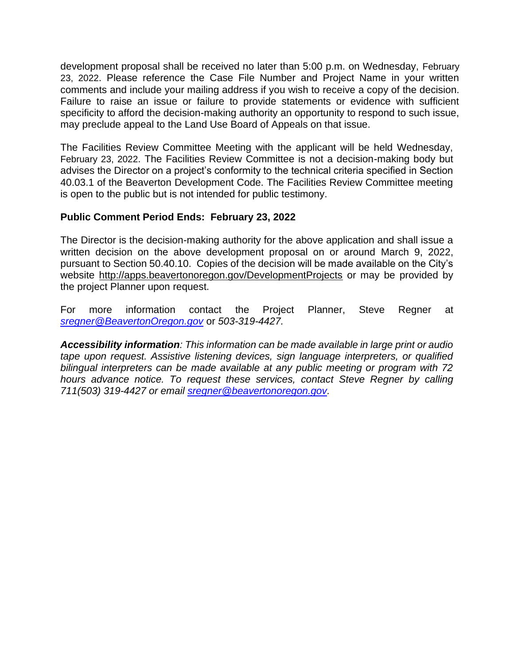development proposal shall be received no later than 5:00 p.m. on Wednesday, February 23, 2022. Please reference the Case File Number and Project Name in your written comments and include your mailing address if you wish to receive a copy of the decision. Failure to raise an issue or failure to provide statements or evidence with sufficient specificity to afford the decision-making authority an opportunity to respond to such issue, may preclude appeal to the Land Use Board of Appeals on that issue.

The Facilities Review Committee Meeting with the applicant will be held Wednesday, February 23, 2022. The Facilities Review Committee is not a decision-making body but advises the Director on a project's conformity to the technical criteria specified in Section 40.03.1 of the Beaverton Development Code. The Facilities Review Committee meeting is open to the public but is not intended for public testimony.

## **Public Comment Period Ends: February 23, 2022**

The Director is the decision-making authority for the above application and shall issue a written decision on the above development proposal on or around March 9, 2022, pursuant to Section 50.40.10. Copies of the decision will be made available on the City's website<http://apps.beavertonoregon.gov/DevelopmentProjects> or may be provided by the project Planner upon request.

For more information contact the Project Planner, Steve Regner at *[sregner@BeavertonOregon.gov](mailto:sregner@BeavertonOregon.gov)* or *503-319-4427.* 

*Accessibility information: This information can be made available in large print or audio tape upon request. Assistive listening devices, sign language interpreters, or qualified bilingual interpreters can be made available at any public meeting or program with 72 hours advance notice. To request these services, contact Steve Regner by calling 711(503) 319-4427 or email [sregner@beavertonoregon.gov.](mailto:sregner@beavertonoregon.gov)*